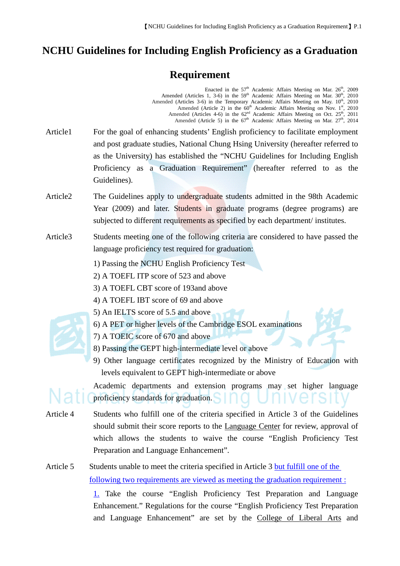## **NCHU Guidelines for Including English Proficiency as a Graduation**

## **Requirement**

|           | Enacted in the 57 <sup>th</sup> Academic Affairs Meeting on Mar. 26 <sup>th</sup> , 2009<br>Amended (Articles 1, 3-6) in the 59 <sup>th</sup> Academic Affairs Meeting on Mar. 30 <sup>th</sup> , 2010<br>Amended (Articles 3-6) in the Temporary Academic Affairs Meeting on May. 10 <sup>th</sup> , 2010<br>Amended (Article 2) in the 60 <sup>th</sup> Academic Affairs Meeting on Nov. 1 <sup>st</sup> , 2010<br>Amended (Articles 4-6) in the $62^{nd}$ Academic Affairs Meeting on Oct. $25^{th}$ , 2011 Amended (Article 5) in the $67^{th}$ Academic Affairs Meeting on Mar. $27^{th}$ , 2014 |
|-----------|-------------------------------------------------------------------------------------------------------------------------------------------------------------------------------------------------------------------------------------------------------------------------------------------------------------------------------------------------------------------------------------------------------------------------------------------------------------------------------------------------------------------------------------------------------------------------------------------------------|
| Article1  | For the goal of enhancing students' English proficiency to facilitate employment                                                                                                                                                                                                                                                                                                                                                                                                                                                                                                                      |
|           | and post graduate studies, National Chung Hsing University (hereafter referred to                                                                                                                                                                                                                                                                                                                                                                                                                                                                                                                     |
|           | as the University) has established the "NCHU Guidelines for Including English                                                                                                                                                                                                                                                                                                                                                                                                                                                                                                                         |
|           | Proficiency as a Graduation Requirement" (hereafter referred to as the<br>Guidelines).                                                                                                                                                                                                                                                                                                                                                                                                                                                                                                                |
| Article2  | The Guidelines apply to undergraduate students admitted in the 98th Academic                                                                                                                                                                                                                                                                                                                                                                                                                                                                                                                          |
|           | Year (2009) and later. Students in graduate programs (degree programs) are                                                                                                                                                                                                                                                                                                                                                                                                                                                                                                                            |
|           | subjected to different requirements as specified by each department/ institutes.                                                                                                                                                                                                                                                                                                                                                                                                                                                                                                                      |
| Article3  | Students meeting one of the following criteria are considered to have passed the<br>language proficiency test required for graduation:                                                                                                                                                                                                                                                                                                                                                                                                                                                                |
|           | 1) Passing the NCHU English Proficiency Test                                                                                                                                                                                                                                                                                                                                                                                                                                                                                                                                                          |
|           | 2) A TOEFL ITP score of 523 and above                                                                                                                                                                                                                                                                                                                                                                                                                                                                                                                                                                 |
|           | 3) A TOEFL CBT score of 193 and above                                                                                                                                                                                                                                                                                                                                                                                                                                                                                                                                                                 |
|           | 4) A TOEFL IBT score of 69 and above                                                                                                                                                                                                                                                                                                                                                                                                                                                                                                                                                                  |
|           | 5) An IELTS score of 5.5 and above                                                                                                                                                                                                                                                                                                                                                                                                                                                                                                                                                                    |
|           | 6) A PET or higher levels of the Cambridge ESOL examinations                                                                                                                                                                                                                                                                                                                                                                                                                                                                                                                                          |
|           | 7) A TOEIC score of 670 and above                                                                                                                                                                                                                                                                                                                                                                                                                                                                                                                                                                     |
|           | 8) Passing the GEPT high-intermediate level or above                                                                                                                                                                                                                                                                                                                                                                                                                                                                                                                                                  |
|           | 9) Other language certificates recognized by the Ministry of Education with                                                                                                                                                                                                                                                                                                                                                                                                                                                                                                                           |
|           | levels equivalent to GEPT high-intermediate or above                                                                                                                                                                                                                                                                                                                                                                                                                                                                                                                                                  |
|           | Academic departments and extension programs may set higher language<br>proficiency standards for graduation. Sing University                                                                                                                                                                                                                                                                                                                                                                                                                                                                          |
| Article 4 | Students who fulfill one of the criteria specified in Article 3 of the Guidelines<br>should submit their score reports to the <b>Language Center</b> for review, approval of<br>which allows the students to waive the course "English Proficiency Test"<br>Preparation and Language Enhancement".                                                                                                                                                                                                                                                                                                    |
| Article 5 | Students unable to meet the criteria specified in Article 3 but fulfill one of the                                                                                                                                                                                                                                                                                                                                                                                                                                                                                                                    |
|           | <u>following two requirements are viewed as meeting the graduation requirement:</u>                                                                                                                                                                                                                                                                                                                                                                                                                                                                                                                   |
|           | 1. Take the course "English Proficiency Test Preparation and Language<br>Enhancement." Regulations for the course "English Proficiency Test Preparation                                                                                                                                                                                                                                                                                                                                                                                                                                               |

and Language Enhancement" are set by the College of Liberal Arts and